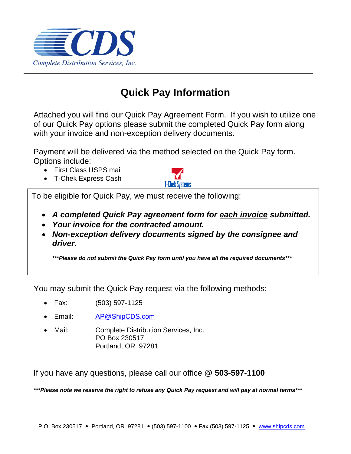

# **Quick Pay Information**

Attached you will find our Quick Pay Agreement Form. If you wish to utilize one of our Quick Pay options please submit the completed Quick Pay form along with your invoice and non-exception delivery documents.

Payment will be delivered via the method selected on the Quick Pay form. Options include:

- First Class USPS mail
- T-Chek Express Cash



To be eligible for Quick Pay, we must receive the following:

- *A completed Quick Pay agreement form for each invoice submitted.*
- *Your invoice for the contracted amount.*
- *Non-exception delivery documents signed by the consignee and driver.*

*\*\*\*Please do not submit the Quick Pay form until you have all the required documents\*\*\**

You may submit the Quick Pay request via the following methods:

- Fax: (503) 597-1125
- Email: [AP@ShipCDS.com](mailto:AP@ShipCDS.com)
- Mail: Complete Distribution Services, Inc. PO Box 230517 Portland, OR 97281

If you have any questions, please call our office @ **503-597-1100**

*\*\*\*Please note we reserve the right to refuse any Quick Pay request and will pay at normal terms\*\*\**